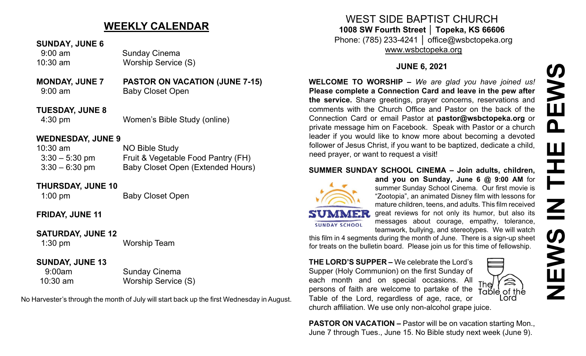# **NEWS IN THE PEWS**PEWS Ш HH Z **SWEN**

# **WEEKLY CALENDAR**

#### **SUNDAY, JUNE 6**

 9:00 am Sunday Cinema 10:30 am Worship Service (S)

#### **MONDAY, JUNE 7 PASTOR ON VACATION (JUNE 7-15)** 9:00 am Baby Closet Open

**TUESDAY, JUNE 8** 4:30 pm Women's Bible Study (online)

#### **WEDNESDAY, JUNE 9**

| $10:30$ am       | NO Bible Study                     |
|------------------|------------------------------------|
| $3:30-5:30$ pm   | Fruit & Vegetable Food Pantry (FH) |
| $3:30 - 6:30$ pm | Baby Closet Open (Extended Hours)  |

#### **THURSDAY, JUNE 10**

1:00 pm Baby Closet Open

# **FRIDAY, JUNE 11**

#### **SATURDAY, JUNE 12**

1:30 pm Worship Team

### **SUNDAY, JUNE 13**

9:00am Sunday Cinema 10:30 am Worship Service (S)

No Harvester's through the month of July will start back up the first Wednesday in August.

WEST SIDE BAPTIST CHURCH **1008 SW Fourth Street │ Topeka, KS 66606** Phone: (785) 233-4241 │ office@wsbctopeka.org

[www.wsbctopeka.org](http://www.wsbctopeka.org/)

# **JUNE 6, 2021**

**WELCOME TO WORSHIP –** *We are glad you have joined us!* **Please complete a Connection Card and leave in the pew after the service.** Share greetings, prayer concerns, reservations and comments with the Church Office and Pastor on the back of the Connection Card or email Pastor at **pastor@wsbctopeka.org** or private message him on Facebook. [S](https://www.facebook.com/ivangreuter.)peak with Pastor or a church leader if you would like to know more about becoming a devoted follower of Jesus Christ, if you want to be baptized, dedicate a child, need prayer, or want to request a visit!

#### **SUMMER SUNDAY SCHOOL CINEMA – Join adults, children,**



**SUNDAY SCHOOL** 

**and you on Sunday, June 6 @ 9:00 AM** for summer Sunday School Cinema. Our first movie is "Zootopia", an animated Disney film with lessons for mature children, teens, and adults. This film received great reviews for not only its humor, but also its messages about courage, empathy, tolerance, teamwork, bullying, and stereotypes. We will watch

this film in 4 segments during the month of June. There is a sign-up sheet for treats on the bulletin board. Please join us for this time of fellowship.

**THE LORD'S SUPPER –** We celebrate the Lord's Supper (Holy Communion) on the first Sunday of each month and on special occasions. All  $_{\text{The}}$ persons of faith are welcome to partake of the Table of the Lord, regardless of age, race, or church affiliation. We use only non-alcohol grape juice.



**PASTOR ON VACATION –** Pastor will be on vacation starting Mon., June 7 through Tues., June 15. No Bible study next week (June 9).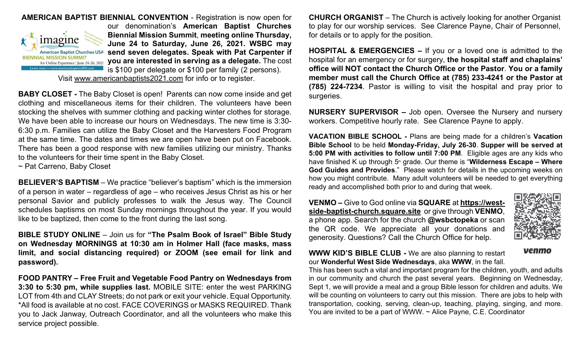

**AMERICAN BAPTIST BIENNIAL CONVENTION** - Registration is now open for our denomination's **American Baptist Churches Biennial Mission Summit**, **meeting online Thursday, June 24 to Saturday, June 26, 2021. WSBC may send seven delegates. Speak with Pat Carpenter if you are interested in serving as a delegate.** The cost is \$100 per delegate or \$100 per family (2 persons).

Visit [www.americanbaptists2021.com](http://www.americanbaptists2021.com/) for info or to register.

**BABY CLOSET -** The Baby Closet is open! Parents can now come inside and get clothing and miscellaneous items for their children. The volunteers have been stocking the shelves with summer clothing and packing winter clothes for storage. We have been able to increase our hours on Wednesdays. The new time is 3:30- 6:30 p.m. Families can utilize the Baby Closet and the Harvesters Food Program at the same time. The dates and times we are open have been put on Facebook. There has been a good response with new families utilizing our ministry. Thanks to the volunteers for their time spent in the Baby Closet.

~ Pat Carreno, Baby Closet

**BELIEVER'S BAPTISM** – We practice "believer's baptism" which is the immersion of a person in water – regardless of age – who receives Jesus Christ as his or her personal Savior and publicly professes to walk the Jesus way. The Council schedules baptisms on most Sunday mornings throughout the year. If you would like to be baptized, then come to the front during the last song.

**BIBLE STUDY ONLINE** – Join us for **"The Psalm Book of Israel" Bible Study on Wednesday MORNINGS at 10:30 am in Holmer Hall (face masks, mass limit, and social distancing required) or ZOOM (see email for link and password).** 

**FOOD PANTRY – Free Fruit and Vegetable Food Pantry on Wednesdays from 3:30 to 5:30 pm, while supplies last.** MOBILE SITE: enter the west PARKING LOT from 4th and CLAY Streets; do not park or exit your vehicle. Equal Opportunity. \*All food is available at no cost. FACE COVERINGS or MASKS REQUIRED. Thank you to Jack Janway, Outreach Coordinator, and all the volunteers who make this service project possible.

**CHURCH ORGANIST** – The Church is actively looking for another Organist to play for our worship services. See Clarence Payne, Chair of Personnel, for details or to apply for the position.

**HOSPITAL & EMERGENCIES –** If you or a loved one is admitted to the hospital for an emergency or for surgery, **the hospital staff and chaplains' office will NOT contact the Church Office or the Pastor**. **You or a family member must call the Church Office at (785) 233-4241 or the Pastor at (785) 224-7234**. Pastor is willing to visit the hospital and pray prior to surgeries.

**NURSERY SUPERVISOR –** Job open. Oversee the Nursery and nursery workers. Competitive hourly rate. See Clarence Payne to apply.

**VACATION BIBLE SCHOOL -** Plans are being made for a children's **Vacation Bible School** to be held **Monday-Friday, July 26-30**. **Supper will be served at 5:00 PM with activities to follow until 7:00 PM**. Eligible ages are any kids who have finished K up through 5<sup>th</sup> grade. Our theme is "Wilderness Escape – Where **God Guides and Provides**." Please watch for details in the upcoming weeks on how you might contribute. Many adult volunteers will be needed to get everything ready and accomplished both prior to and during that week.

**VENMO –** Give to God online via **SQUARE** at **[https://west](https://west-side-baptist-church.square.site/)side-baptist-[church.square.site](https://west-side-baptist-church.square.site/)** or give through **VENMO**, a phone app. Search for the church **@wsbctopeka** or scan the QR code. We appreciate all your donations and generosity. Questions? Call the Church Office for help.



venmo

#### **WWW KID'S BIBLE CLUB -** We are also planning to restart our **Wonderful West Side Wednesdays**, aka **WWW**, in the fall.

This has been such a vital and important program for the children, youth, and adults in our community and church the past several years. Beginning on Wednesday, Sept 1, we will provide a meal and a group Bible lesson for children and adults. We will be counting on volunteers to carry out this mission. There are jobs to help with transportation, cooking, serving, clean-up, teaching, playing, singing, and more. You are invited to be a part of WWW. ~ Alice Payne, C.E. Coordinator